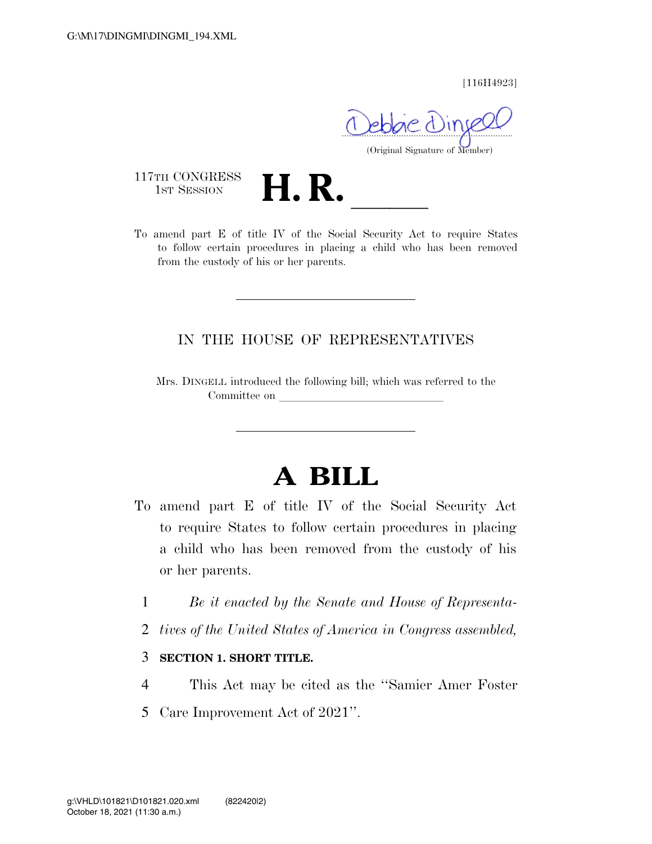[116H4923]

 $\sim$ (Original Signature of Member)

117TH CONGRESS<br>1st Session

117TH CONGRESS<br>1st SESSION<br>To amend part E of title IV of the Social Security Act to require States to follow certain procedures in placing a child who has been removed from the custody of his or her parents.

## IN THE HOUSE OF REPRESENTATIVES

Mrs. DINGELL introduced the following bill; which was referred to the Committee on

## **A BILL**

- To amend part E of title IV of the Social Security Act to require States to follow certain procedures in placing a child who has been removed from the custody of his or her parents.
	- 1 *Be it enacted by the Senate and House of Representa-*
	- 2 *tives of the United States of America in Congress assembled,*

## 3 **SECTION 1. SHORT TITLE.**

- 4 This Act may be cited as the ''Samier Amer Foster
- 5 Care Improvement Act of 2021''.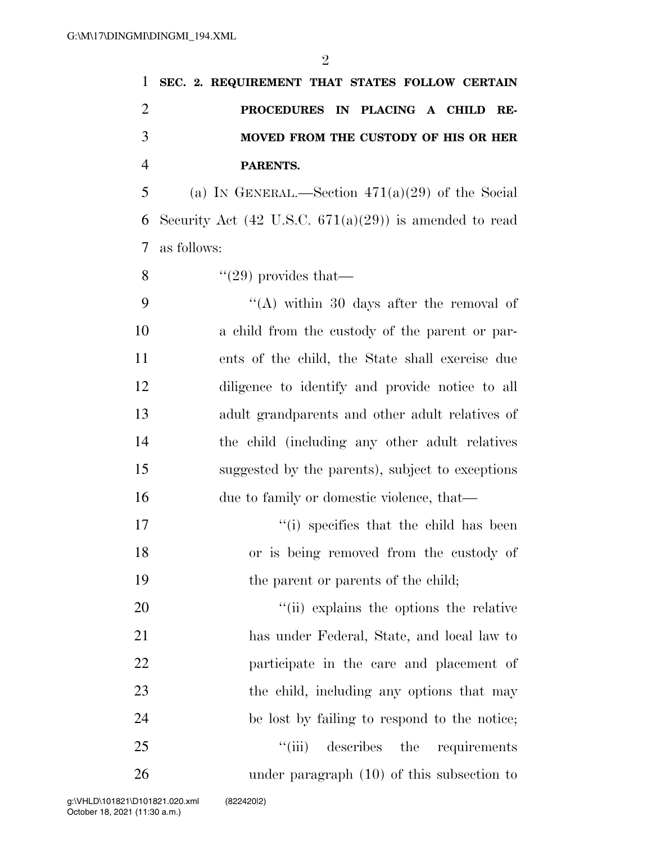|                | 1 SEC. 2. REQUIREMENT THAT STATES FOLLOW CERTAIN   |
|----------------|----------------------------------------------------|
| $\overline{2}$ | PROCEDURES IN PLACING A CHILD RE-                  |
| 3              | MOVED FROM THE CUSTODY OF HIS OR HER               |
| $\overline{4}$ | PARENTS.                                           |
| 5 <sup>5</sup> | (a) IN GENERAL.—Section $471(a)(29)$ of the Social |

6 Security Act  $(42 \text{ U.S.C. } 671(a)(29))$  is amended to read 7 as follows:

8  $\frac{4}{29}$  provides that

 ''(A) within 30 days after the removal of a child from the custody of the parent or par- ents of the child, the State shall exercise due diligence to identify and provide notice to all adult grandparents and other adult relatives of the child (including any other adult relatives suggested by the parents), subject to exceptions 16 due to family or domestic violence, that—

17 ''(i) specifies that the child has been 18 or is being removed from the custody of 19 the parent or parents of the child;

 $\frac{1}{1}$  (ii) explains the options the relative has under Federal, State, and local law to participate in the care and placement of 23 the child, including any options that may be lost by failing to respond to the notice; 25 ''(iii) describes the requirements under paragraph (10) of this subsection to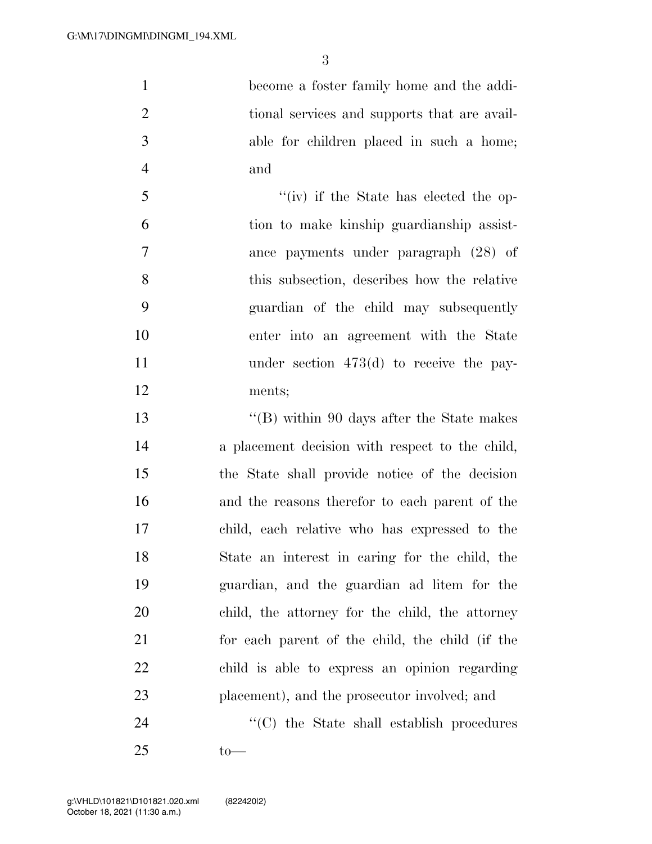become a foster family home and the addi- tional services and supports that are avail- able for children placed in such a home; and

5 ''(iv) if the State has elected the op- tion to make kinship guardianship assist- ance payments under paragraph (28) of this subsection, describes how the relative guardian of the child may subsequently enter into an agreement with the State 11 under section 473(d) to receive the pay-ments;

 ''(B) within 90 days after the State makes a placement decision with respect to the child, the State shall provide notice of the decision and the reasons therefor to each parent of the child, each relative who has expressed to the State an interest in caring for the child, the guardian, and the guardian ad litem for the child, the attorney for the child, the attorney for each parent of the child, the child (if the child is able to express an opinion regarding placement), and the prosecutor involved; and

24  $\cdot$  (C) the State shall establish procedures to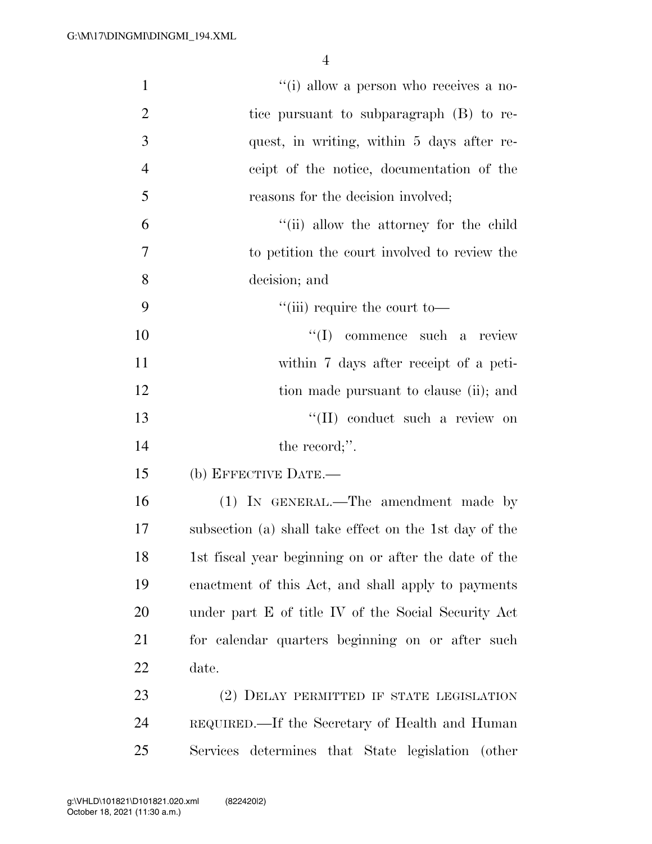| $\mathbf{1}$   | "(i) allow a person who receives a no-                 |
|----------------|--------------------------------------------------------|
| $\overline{2}$ | tice pursuant to subparagraph (B) to re-               |
| 3              | quest, in writing, within 5 days after re-             |
| $\overline{4}$ | ceipt of the notice, documentation of the              |
| 5              | reasons for the decision involved;                     |
| 6              | "(ii) allow the attorney for the child                 |
| 7              | to petition the court involved to review the           |
| 8              | decision; and                                          |
| 9              | $\lq\lq$ (iii) require the court to-                   |
| 10             | $\lq\lq$ commence such a review                        |
| 11             | within 7 days after receipt of a peti-                 |
| 12             | tion made pursuant to clause (ii); and                 |
| 13             | "(II) conduct such a review on                         |
| 14             | the record;".                                          |
| 15             | (b) EFFECTIVE DATE.-                                   |
| 16             | (1) IN GENERAL.—The amendment made by                  |
| 17             | subsection (a) shall take effect on the 1st day of the |
| 18             | 1st fiscal year beginning on or after the date of the  |
| 19             | enactment of this Act, and shall apply to payments     |
| 20             | under part E of title IV of the Social Security Act    |
| 21             | for calendar quarters beginning on or after such       |
| 22             | date.                                                  |
| 23             | (2) DELAY PERMITTED IF STATE LEGISLATION               |
| 24             | REQUIRED.—If the Secretary of Health and Human         |
| 25             | Services determines that State legislation (other      |